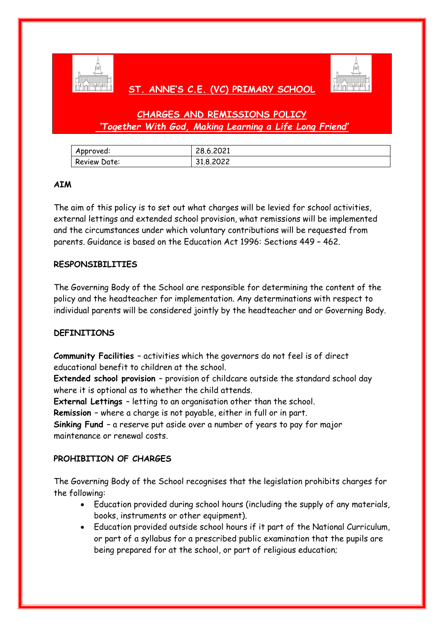

## **ST. ANNE'S C.E. (VC) PRIMARY SCHOOL**



# **CHARGES AND REMISSIONS POLICY** *'Together With God, Making Learning a Life Long Friend'*

| Approved:    | 28.6.2021 |
|--------------|-----------|
| Review Date: | 31.8.2022 |

#### **AIM**

The aim of this policy is to set out what charges will be levied for school activities, external lettings and extended school provision, what remissions will be implemented and the circumstances under which voluntary contributions will be requested from parents. Guidance is based on the Education Act 1996: Sections 449 – 462.

#### **RESPONSIBILITIES**

The Governing Body of the School are responsible for determining the content of the policy and the headteacher for implementation. Any determinations with respect to individual parents will be considered jointly by the headteacher and or Governing Body.

#### **DEFINITIONS**

**Community Facilities** – activities which the governors do not feel is of direct educational benefit to children at the school.

**Extended school provision** – provision of childcare outside the standard school day where it is optional as to whether the child attends.

**External Lettings** – letting to an organisation other than the school.

**Remission** – where a charge is not payable, either in full or in part.

**Sinking Fund** – a reserve put aside over a number of years to pay for major maintenance or renewal costs.

#### **PROHIBITION OF CHARGES**

The Governing Body of the School recognises that the legislation prohibits charges for the following:

- Education provided during school hours (including the supply of any materials, books, instruments or other equipment).
- Education provided outside school hours if it part of the National Curriculum, or part of a syllabus for a prescribed public examination that the pupils are being prepared for at the school, or part of religious education;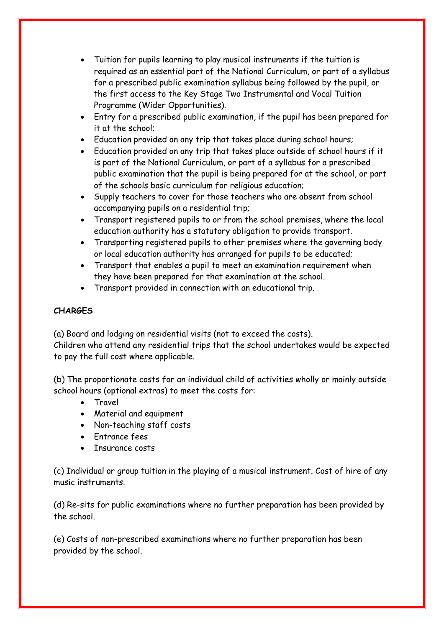- Tuition for pupils learning to play musical instruments if the tuition is required as an essential part of the National Curriculum, or part of a syllabus for a prescribed public examination syllabus being followed by the pupil, or the first access to the Key Stage Two Instrumental and Vocal Tuition Programme (Wider Opportunities).
- Entry for a prescribed public examination, if the pupil has been prepared for it at the school;
- Education provided on any trip that takes place during school hours;
- Education provided on any trip that takes place outside of school hours if it is part of the National Curriculum, or part of a syllabus for a prescribed public examination that the pupil is being prepared for at the school, or part of the schools basic curriculum for religious education;
- Supply teachers to cover for those teachers who are absent from school accompanying pupils on a residential trip;
- Transport registered pupils to or from the school premises, where the local education authority has a statutory obligation to provide transport.
- Transporting registered pupils to other premises where the governing body or local education authority has arranged for pupils to be educated;
- Transport that enables a pupil to meet an examination requirement when they have been prepared for that examination at the school.
- Transport provided in connection with an educational trip.

## **CHARGES**

(a) Board and lodging on residential visits (not to exceed the costs).

Children who attend any residential trips that the school undertakes would be expected to pay the full cost where applicable.

(b) The proportionate costs for an individual child of activities wholly or mainly outside school hours (optional extras) to meet the costs for:

- Travel
- Material and equipment
- Non-teaching staff costs
- Entrance fees
- Insurance costs

(c) Individual or group tuition in the playing of a musical instrument. Cost of hire of any music instruments.

(d) Re-sits for public examinations where no further preparation has been provided by the school.

(e) Costs of non-prescribed examinations where no further preparation has been provided by the school.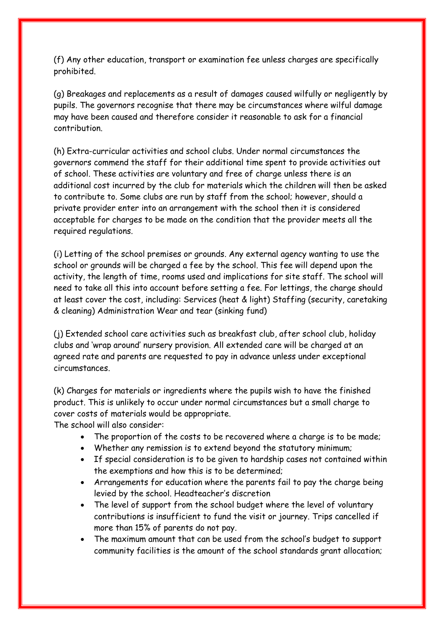(f) Any other education, transport or examination fee unless charges are specifically prohibited.

(g) Breakages and replacements as a result of damages caused wilfully or negligently by pupils. The governors recognise that there may be circumstances where wilful damage may have been caused and therefore consider it reasonable to ask for a financial contribution.

(h) Extra-curricular activities and school clubs. Under normal circumstances the governors commend the staff for their additional time spent to provide activities out of school. These activities are voluntary and free of charge unless there is an additional cost incurred by the club for materials which the children will then be asked to contribute to. Some clubs are run by staff from the school; however, should a private provider enter into an arrangement with the school then it is considered acceptable for charges to be made on the condition that the provider meets all the required regulations.

(i) Letting of the school premises or grounds. Any external agency wanting to use the school or grounds will be charged a fee by the school. This fee will depend upon the activity, the length of time, rooms used and implications for site staff. The school will need to take all this into account before setting a fee. For lettings, the charge should at least cover the cost, including: Services (heat & light) Staffing (security, caretaking & cleaning) Administration Wear and tear (sinking fund)

(j) Extended school care activities such as breakfast club, after school club, holiday clubs and 'wrap around' nursery provision. All extended care will be charged at an agreed rate and parents are requested to pay in advance unless under exceptional circumstances.

(k) Charges for materials or ingredients where the pupils wish to have the finished product. This is unlikely to occur under normal circumstances but a small charge to cover costs of materials would be appropriate.

The school will also consider:

- The proportion of the costs to be recovered where a charge is to be made;
- Whether any remission is to extend beyond the statutory minimum;
- If special consideration is to be given to hardship cases not contained within the exemptions and how this is to be determined;
- Arrangements for education where the parents fail to pay the charge being levied by the school. Headteacher's discretion
- The level of support from the school budget where the level of voluntary contributions is insufficient to fund the visit or journey. Trips cancelled if more than 15% of parents do not pay.
- The maximum amount that can be used from the school's budget to support community facilities is the amount of the school standards grant allocation;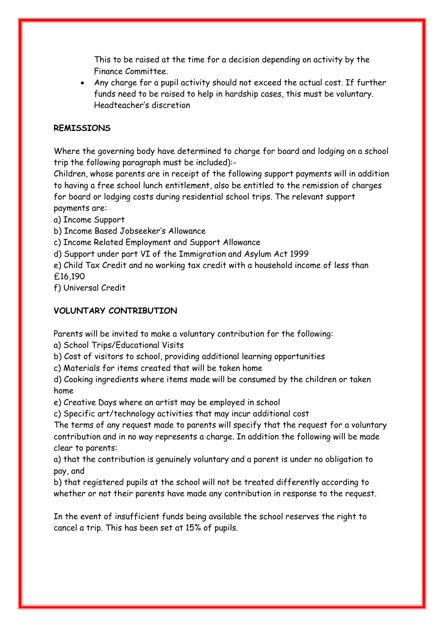This to be raised at the time for a decision depending on activity by the Finance Committee.

 Any charge for a pupil activity should not exceed the actual cost. If further funds need to be raised to help in hardship cases, this must be voluntary. Headteacher's discretion

### **REMISSIONS**

Where the governing body have determined to charge for board and lodging on a school trip the following paragraph must be included):-

Children, whose parents are in receipt of the following support payments will in addition to having a free school lunch entitlement, also be entitled to the remission of charges for board or lodging costs during residential school trips. The relevant support payments are:

a) Income Support

b) Income Based Jobseeker's Allowance

c) Income Related Employment and Support Allowance

d) Support under part VI of the Immigration and Asylum Act 1999

e) Child Tax Credit and no working tax credit with a household income of less than £16,190

f) Universal Credit

## **VOLUNTARY CONTRIBUTION**

Parents will be invited to make a voluntary contribution for the following:

a) School Trips/Educational Visits

b) Cost of visitors to school, providing additional learning opportunities

c) Materials for items created that will be taken home

d) Cooking ingredients where items made will be consumed by the children or taken home

e) Creative Days where an artist may be employed in school

c) Specific art/technology activities that may incur additional cost

The terms of any request made to parents will specify that the request for a voluntary contribution and in no way represents a charge. In addition the following will be made clear to parents:

a) that the contribution is genuinely voluntary and a parent is under no obligation to pay, and

b) that registered pupils at the school will not be treated differently according to whether or not their parents have made any contribution in response to the request.

In the event of insufficient funds being available the school reserves the right to cancel a trip. This has been set at 15% of pupils.